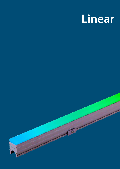# **Linear**

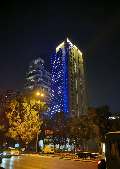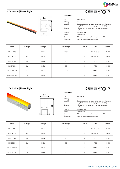

# $HD$ -L04060 | Linear Light  $\overline{CF}$ <sup>82-85</sup>





#### **Technical data**

| Size               | W32*H32mm                                                                                                  |
|--------------------|------------------------------------------------------------------------------------------------------------|
| <b>IP Rating</b>   | <b>IP66</b>                                                                                                |
| Material           | High corrosion resistance die-cast copper-free aluminum<br>body & UV-resistant frosted polycarbonates (PC) |
| Coating            | Polyester powder coating with phosphocromating<br>pre-finish                                               |
| <b>Pixel Pitch</b> | 6/15/30/40 Pixel                                                                                           |
| Screws             | Stainless steel                                                                                            |
| Cover              | UV-resistant frosted solid polycarbonates (PC)                                                             |
| Connector:         | Male / Female Waterproof Connector                                                                         |

| Model       | Wattage    | Voltage          | <b>Beam Angle</b> | Chip Qty | Color        | Control    |
|-------------|------------|------------------|-------------------|----------|--------------|------------|
| HD-L04060   | 14W        | DC24             | 270°              | 60       | Single Color | On/Off     |
| HD-L04072   | <b>16W</b> | DC <sub>24</sub> | $270^\circ$       | 72       | Single Color | On/Off     |
| HD-L04048R  | 10W        | <b>DC24</b>      | 270°              | 48       | RGB          | <b>DMX</b> |
| HD-L04060R  | <b>13W</b> | DC <sub>24</sub> | 270°              | 60       | RGB          | DMX        |
| HD-L04048RW | <b>13W</b> | DC <sub>24</sub> | $270^\circ$       | 48       | RGBW         | <b>DMX</b> |
| HD-L04060RW | 17W        | DC <sub>24</sub> | $270^\circ$       | 60       | RGBW         | <b>DMX</b> |

**Technical data**







| Size             | W23*H38 MM                                                                                                 |
|------------------|------------------------------------------------------------------------------------------------------------|
| <b>IP Rating</b> | <b>IP66</b>                                                                                                |
| Material         | High corrosion resistance die-cast copper-free aluminum<br>body & UV-resistant frosted polycarbonates (PC) |
| Coating          | Polyester powder coating with phosphocromating<br>pre-finish                                               |
| Pixel Pitch      | 6/15/30/40 Pixel                                                                                           |
| <b>Screws</b>    | Stainless steel                                                                                            |
| Cover            | UV-resistant frosted solid polycarbonates (PC)                                                             |
| Connector:       | Male / Female Waterproof Connector                                                                         |

| Model       | Wattage    | Voltage          | <b>Beam Angle</b> | <b>Chip Qty</b> | Color        | Control    |
|-------------|------------|------------------|-------------------|-----------------|--------------|------------|
| HD-L03060   | 14W        | DC24             | 270°              | 60              | Single Color | On/Off     |
| HD-L03072   | <b>16W</b> | DC24             | 270°              | 72              | Single Color | On/Off     |
| HD-L03048R  | <b>10W</b> | DC24             | 270°              | 48              | RGB          | <b>DMX</b> |
| HD-L03060R  | <b>13W</b> | DC24             | 270°              | 60              | RGB          | <b>DMX</b> |
| HD-L03048RW | <b>13W</b> | DC <sub>24</sub> | 270°              | 48              | RGBW         | <b>DMX</b> |
| HD-L03060RW | 17W        | DC24             | $270^\circ$       | 60              | RGBW         | <b>DMX</b> |

### www.hondellighting.com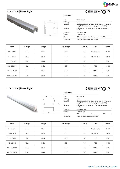

### $HD$ -L02060 | Linear Light  $\overline{CF}$   $\overline{CP}$   $\overline{CP}$   $\overline{CP}$   $\overline{CP}$   $\overline{CP}$   $\overline{CP}$





#### **Technical data**

| Size             | W50*H50mm                                                                                                  |
|------------------|------------------------------------------------------------------------------------------------------------|
| <b>IP Rating</b> | <b>IP66</b>                                                                                                |
| Material         | High corrosion resistance die-cast copper-free aluminum<br>body & UV-resistant frosted polycarbonates (PC) |
| Coating          | Polyester powder coating with phosphocromating<br>pre-finish                                               |
| Pixel Pitch      | 6/15/30/40 Pixel                                                                                           |
| Screws           | Stainless steel                                                                                            |
| Cover            | UV-resistant frosted solid polycarbonates (PC)                                                             |
| Connector:       | Male / Female Waterproof Connector                                                                         |

| Model       | Wattage    | Voltage          | <b>Beam Angle</b> | Chip Qty | Color        | Control    |
|-------------|------------|------------------|-------------------|----------|--------------|------------|
| HD-L02060   | 14W        | DC24             | $270^\circ$       | 60       | Single Color | On/Off     |
| HD-L02072   | <b>16W</b> | DC <sub>24</sub> | 270°              | 72       | Single Color | On/Off     |
| HD-L02048R  | <b>10W</b> | DC24             | 270°              | 48       | RGB          | DMX        |
| HD-L02060R  | <b>13W</b> | DC24             | 270°              | 60       | RGB          | DMX        |
| HD-L02048RW | <b>13W</b> | DC24             | $270^\circ$       | 48       | RGBW         | DMX        |
| HD-L02060RW | <b>17W</b> | DC24             | $270^\circ$       | 60       | RGBW         | <b>DMX</b> |

## **HD-L12060 | Linear Light IP66 IP66 IP66 IP66 IP66 IP66 IP66 IP66 IP66 IP66 IP66 IP66 IP66 IP66 IP66 IP66 IP66 IP66 IP66 IP66 IP66 IP66 IP66 IP66 IP66 IP66 IP66 IP66**





### **Technical data**

| Size             | W50*H65 MM                                                                                                 |
|------------------|------------------------------------------------------------------------------------------------------------|
| <b>IP Rating</b> | <b>IP66</b>                                                                                                |
| Material         | High corrosion resistance die-cast copper-free aluminum<br>body & UV-resistant frosted polycarbonates (PC) |
| Coating          | Polyester powder coating with phosphocromating<br>pre-finish                                               |
| Pixel Pitch      | 6/15/30/40 Pixel                                                                                           |
| Screws           | Stainless steel                                                                                            |
| Cover            | UV-resistant frosted solid polycarbonates (PC)                                                             |
| Connector:       | Male / Female Waterproof Connector                                                                         |

| Model       | Wattage    | Voltage          | <b>Beam Angle</b> | Chip Qty | Color        | Control    |
|-------------|------------|------------------|-------------------|----------|--------------|------------|
| HD-L12060   | 14W        | DC24             | 270°              | 60       | Single Color | On/Off     |
| HD-L12072   | <b>16W</b> | DC24             | 270°              | 72       | Single Color | On/Off     |
| HD-L12060R  | <b>10W</b> | DC <sub>24</sub> | 270°              | 48       | RGB          | <b>DMX</b> |
| HD-L12048R  | 13W        | DC <sub>24</sub> | $270^\circ$       | 60       | RGB          | <b>DMX</b> |
| HD-L12060RW | 13W        | DC <sub>24</sub> | $270^\circ$       | 48       | RGBW         | <b>DMX</b> |
| HD-L12048RW | 17W        | <b>DC24</b>      | $270^\circ$       | 60       | RGBW         | <b>DMX</b> |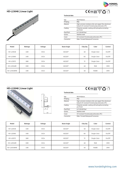

# $H$ D-L23048 | Linear Light  $\overline{C}$   $\overline{F}$   $\overline{F}$   $\overline{F}$   $\overline{F}$   $\overline{F}$   $\overline{F}$   $\overline{F}$   $\overline{F}$



#### **Technical data**

| Size             | W22*H32mm                                                                                                  |
|------------------|------------------------------------------------------------------------------------------------------------|
| <b>IP Rating</b> | <b>IP66</b>                                                                                                |
| Material         | High corrosion resistance die-cast copper-free aluminum<br>body & UV-resistant frosted polycarbonates (PC) |
| Coating          | Polyester powder coating with phosphocromating<br>pre-finish                                               |
| Pixel Pitch      | 6/15/30/40 Pixel                                                                                           |
| Screws           | Stainless steel                                                                                            |
| Cover            | UV-resistant frosted polycarbonates (PC)                                                                   |
| Connector:       | Male / Female Waterproof Connector                                                                         |

| Model       | Wattage    | Voltage          | <b>Beam Angle</b> | Chip Qty | Color        | Control    |
|-------------|------------|------------------|-------------------|----------|--------------|------------|
| HD-L23048   | 14W        | DC24             | 60/120°           | 48       | Single Color | On/Off     |
| HD-L23060   | 14W        | DC24             | 60/120°           | 60       | Single Color | On/Off     |
| HD-L23072   | <b>16W</b> | <b>DC24</b>      | 60/120°           | 72       | Single Color | On/Off     |
| HD-L23048R  | 10W        | DC <sub>24</sub> | 60/120°           | 48       | RGB          | <b>DMX</b> |
| HD-L23048RW | 13W        | DC24             | 60/120°           | 48       | <b>RGBW</b>  | <b>DMX</b> |

**Technical data**







| Size             | W23*H50mm                                                                                                  |
|------------------|------------------------------------------------------------------------------------------------------------|
| <b>IP Rating</b> | <b>IP66</b>                                                                                                |
| Material         | High corrosion resistance die-cast copper-free aluminum<br>body & UV-resistant frosted polycarbonates (PC) |
| Coating          | Polyester powder coating with phosphocromating<br>pre-finish                                               |
| Pixel Pitch      | 6/15/30/40 Pixel                                                                                           |
| <b>Screws</b>    | Stainless steel                                                                                            |
| Cover            | UV-resistant frosted polycarbonates (PC)                                                                   |
| Connector:       | Male / Female Waterproof Connector                                                                         |

| Model       | Wattage    | Voltage | <b>Beam Angle</b> | Chip Qty | Color        | Control    |
|-------------|------------|---------|-------------------|----------|--------------|------------|
| HD-L22048   | 14W        | DC24    | 60/120°           | 48       | Single Color | On/Off     |
| HD-L22060   | 14W        | DC24    | 60/120°           | 60       | Single Color | On/Off     |
| HD-L22072   | <b>16W</b> | DC24    | 60/120°           | 72       | Single Color | On/Off     |
| HD-L22048R  | <b>10W</b> | DC24    | 60/120°           | 48       | RGB          | <b>DMX</b> |
| HD-L22048RW | 13W        | DC24    | 60/120°           | 48       | <b>RGBW</b>  | <b>DMX</b> |

### www.hondellighting.com